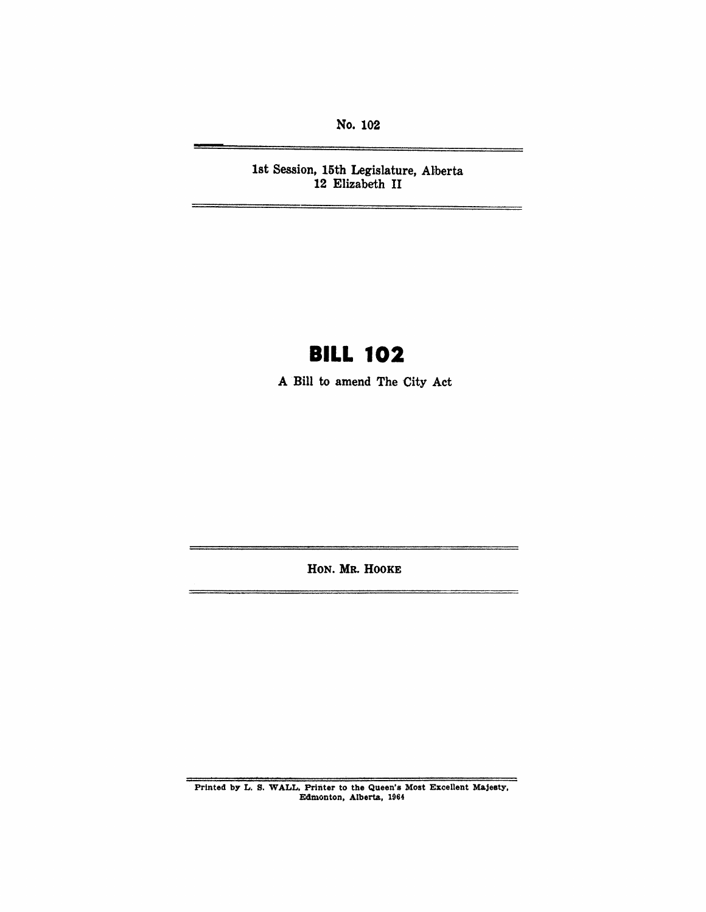No. 102

1st Session, 15th Legislature, Alberta 12 Elizabeth II

# **BILL 102**

A Bill to amend The City Act

HON. MR. HOOKE

Printed by L. S. WALL, Printer to the Queen's Most Excellent Majesty, Edmonton, Alberta, 1964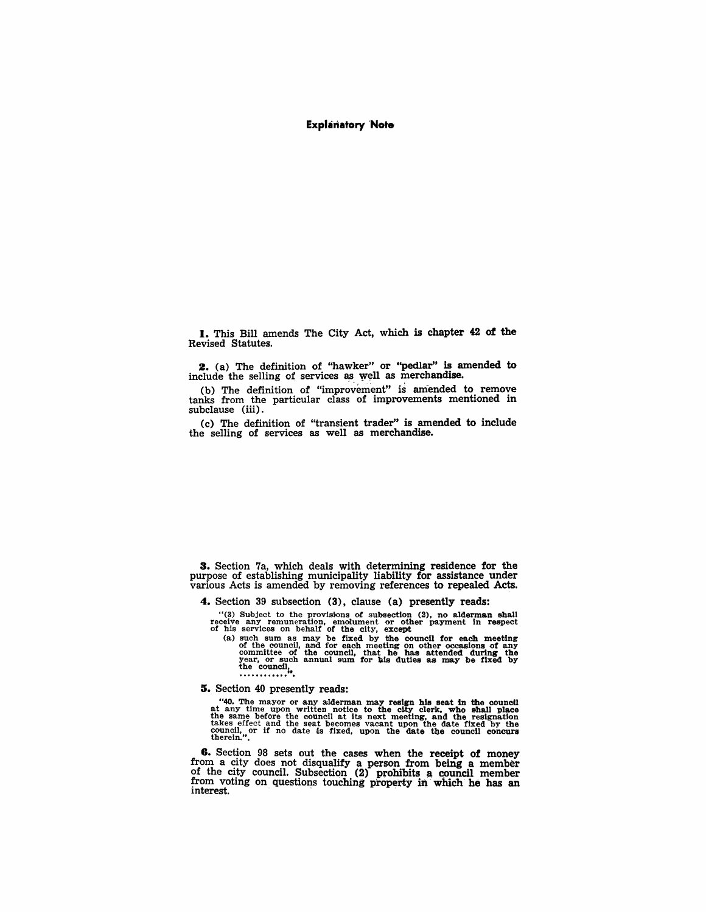#### Explanatory 'Note

I. This Bill amends The City Act, which is chapter 42 of the Revised Statutes.

2. (a) The definition of "hawker" or "pedlar" is amended to include the selling of services as well as merchandise.

(b) The definition of "improvement" is amended to remove tanks from the particular class of improvements mentioned in subclause (iii).

(c) The definition of "transient trader" is amended to include the selling of services as well as merchandise.

3. Section 7a, which deals with determining residence for the purpose of establishing municipality liability for assistance under various Acts is amended by removing references to repealed Acts.

4. Section 39 subsection (3), clause (a) presently reads:

"(3) Subject to the provisions of subsection (2), no alderman shall receive any remuneration, emolument or other payment In respect of his 'services on behalf of the city, except

(a) such sum as may be fixed by the council for each meeting of the council, and for each meeting on other occasions of any committee of the council, that he has attended during the year, or such annual sum for his duties ~~~ .. ~~~«7~".

S. Section 40 presently reads:

"40. The mayor or any alderman may resign his seat in the council at any time upon written notice to the city clerk, who shall place the same before the council at its next meeting, and the resignation takes effect and the council, or if no date is fixed, upon the date the council concurs therein.".

8. Section 98 sets out the cases when the receipt of money from a city does not disqualify a person from being a member of the city council. Subsection (2) Pfohibits a council member from voting on questions touching property in which he has an interest.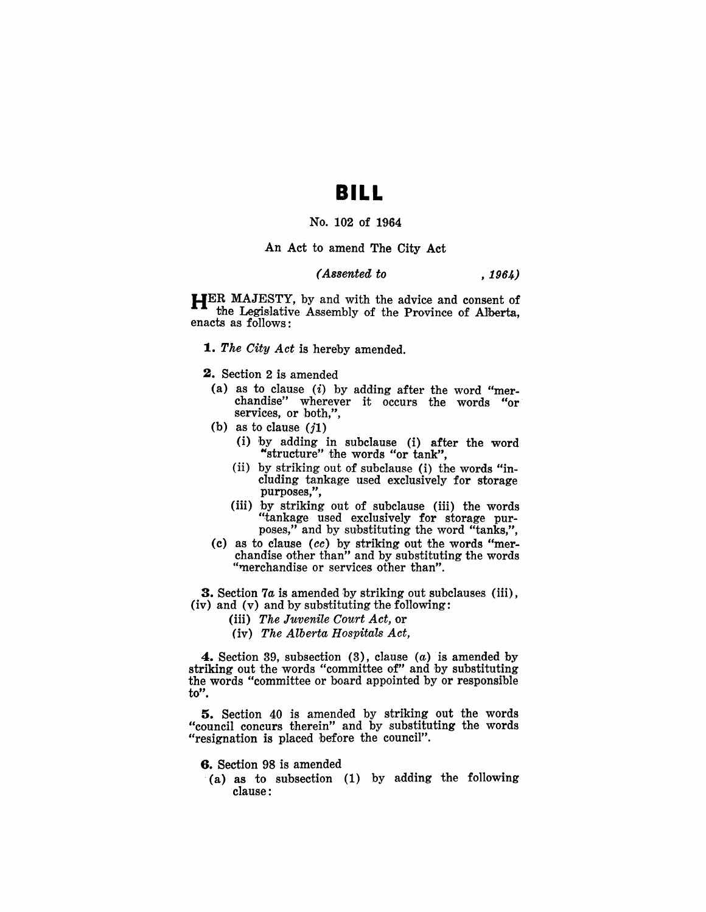## **BILL**

## No. 102 of 1964

An Act to amend The City Act

## *(Assented to* , 1964)

HER MAJESTY, by and with the advice and consent of the Legislative Assembly of the Province of Alberta, enacts as follows:

- *1. The City Act* is hereby amended.
- 2. Section 2 is amended
	- (a) as to clause  $(i)$  by adding after the word "merchandise" wherever it occurs the words "or services, or both,",
- (b) as to clause  $(j1)$ 
	- (i) by adding in subclause (i) after the word "structure" the words "or tank",
	- (ii) by striking out of subclause (i) the words "including tankage used exclusively for storage purposes,",
	- (iii) by striking out of subclause (iii) the words "tankage used exclusively for storage purposes," and by substituting the word "tanks,",
- ( c) as to clause *(cc* ) by striking out the words "merchandise other than" and by substituting the words "merchandise or services other than".

**3.** Section 7*a* is amended by striking out subclauses (iii), (iv) and (v) and by substituting the following:

- (iii) *The Juvenile Court Act,* or
- (iv) *The Alberta Hospitals Act,*

**4.** Section 39, subsection  $(3)$ , clause  $(a)$  is amended by striking out the words "committee of" and by substituting the words "committee or board appointed by or responsible to".

5. Section 40 is amended by striking out the words "council concurs therein" and by substituting the words "resignation is placed before the council".

### 6. Section 98 is amended

. (a) as to subsection (1) by adding the following clause: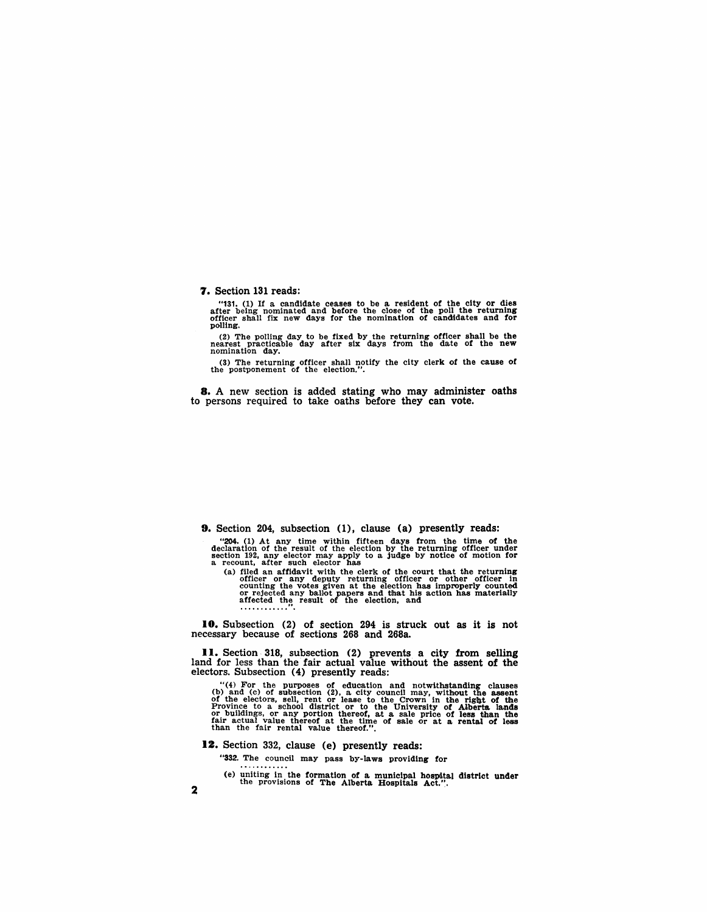7. Section 131 reads:

"131. (1) If a candidate ceases to be a resident of the city or dies after being nominated and before the close of the poll the returning officer shall fix new days for the nomination of candidates and for polling.

(2) The pOlling day to be fixed by the returning officer shall be the nearest practicable day after six days from the date of the new nomination day.

(3) The returning officer shall notify the city clerk of the cause of the postponement of the election.".

8. A new section is added stating who may administer oaths to persons required to take oaths before they can vote.

9. Section 204, subsection (1), clause (a) presently reads:

"204. (1) At any time within fifteen days from the time of the declaration of the result of the result of the election by the returning officer under section 192, any elector may apply to a judge by notice of motion for a

(a) filed an affidavit with the clerk of the court that the returning officer or any deputy returning officer or other officer in counting the votes given at the election has improperly counted or rejected any ballot papers and that his action has materi8l1ly affected th!'; result of the election, and .............

10. Subsection (2) of section 294 is struck out as it is not necessary because of sections 268 and 268a.

II. Section 318, subsection (2) prevents a city from selling land for less than the fair actual value without the assent of the electors. Subsection (4) presently reads:

"(4) For the purposes of education and notwithstanding clauses (b) and (c) of subsection (2), a city council may, without the assent of the electors, sell, rent or lease to the Crown in the right of the Province to a school district or to the University of Aiberta lands<br>or buildings, or any portion thereof, at a sale price of less than the<br>fair actual value thereof at the time of sale or at a rental of less<br>than the fair

12. Section 332, clause (e) presently reads:

"332. The council may pass by-laws providing for

(e) uniting in the formation of a municipal hospital district under the provisions of The Alberta Hospitals Act. ".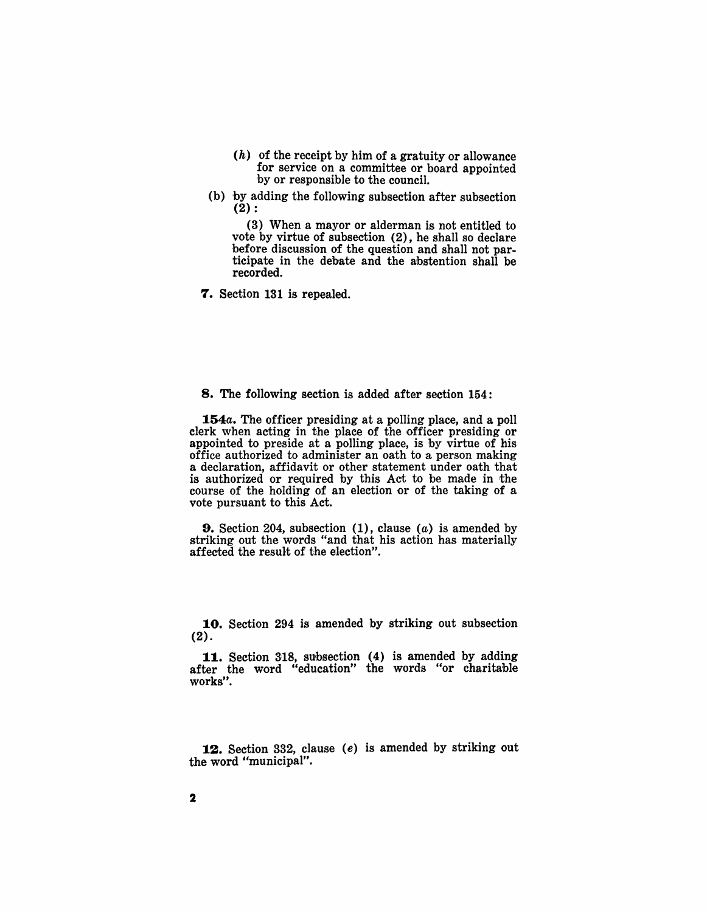- $(h)$  of the receipt by him of a gratuity or allowance for service on a committee or board appointed 'by or responsible to the council.
- (b) by adding the following subsection after subsection  $(2)$  :

(3) When a mayor or alderman is not entitled to vote by virtue of subsection (2), he shall so declare before discussion of the question and shall not participate in the debate and the abstention shall be recorded.

7. Section 131 is repealed.

#### 8. The following section is added after section 154:

*154a.* The officer presiding at a polling place, and a poll clerk when acting in the place of the officer presiding or appointed to preside at a polling place, is by virtue of his office authorized to administer an oath to a person making a declaration, affidavit or other statement under oath that is authorized or required by this Act to be made in the course of the holding of an election or of the taking of a vote pursuant to this Act.

**9.** Section 204, subsection  $(1)$ , clause  $(a)$  is amended by striking out the words "and that his action has materially affected the result of the election".

10. Section 294 is amended by striking out subsection (2).

11. Section 318, subsection (4) is amended by adding after the word "education" the words "or charitable works".

12. Section 332, clause (e) is amended by striking out the word "municipal".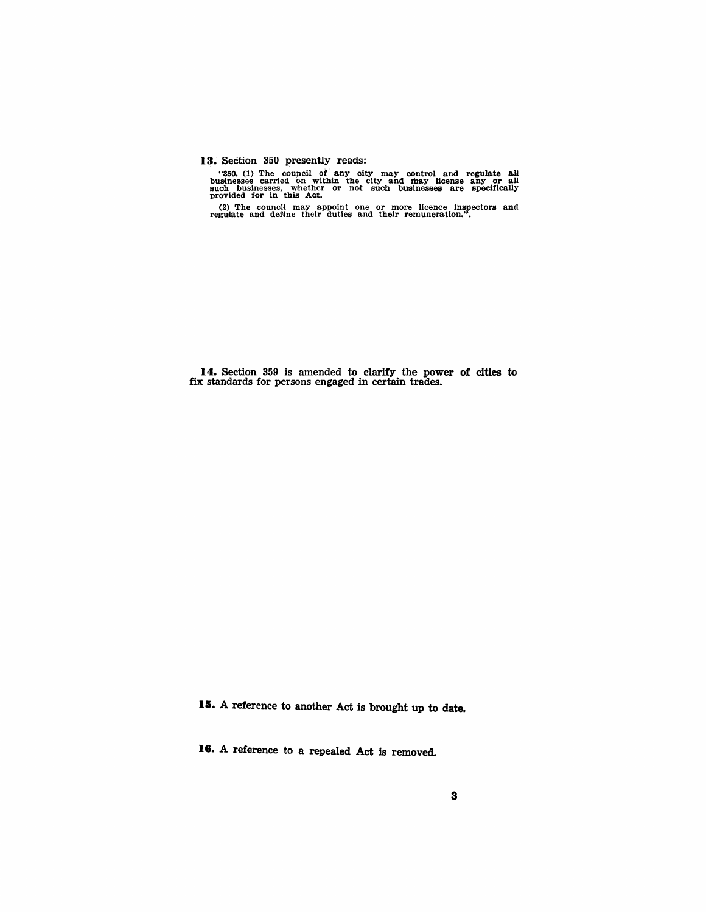13. Section 350 presently reads:

"350. (1) The council of any city may control and regulate all businesses carried on within the city and may license any or all such businesses, whether or not such businesses are specifically provided for in this Act.

 $(2)$  The council may appoint one or more licence inspectors and regulate and define their duties and their remuneration.".

14. Section 359 is amended to clarify the power of cities to fix standards for persons engaged in certain trades.

15. A reference to another Act is brought up to date.

18. A reference to a repealed Act is removed.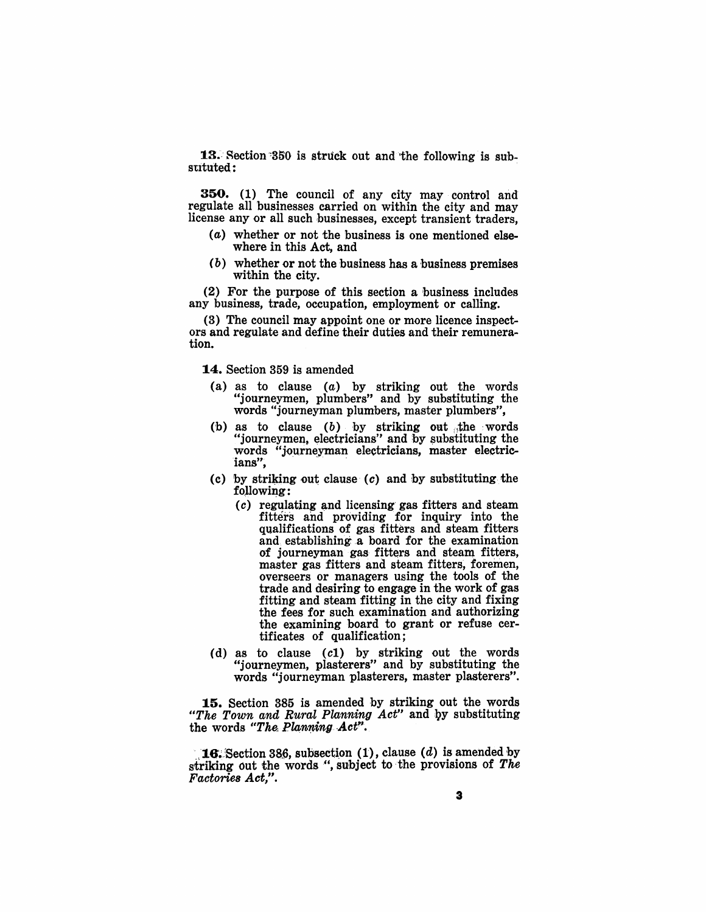13. Section 350 is struck out and the following is substituted:

350. (1) The council of any city may control and regulate all businesses carried on within the city and may license any or all such businesses, except transient traders,

- (a) whether or not the business is one mentioned elsewhere in this Act, and
- (b) whether or not the business has a business premises within the city.

(2) For the purpose of this section a business includes any business, trade, occupation, employment or calling.

(3) The council may appoint one or more licence inspectors and regulate and define their duties and their remuneration.

14. Section 359 is amended

- (a) as to clause  $(a)$  by striking out the words "journeymen, plumbers" and by substituting the words "journeyman plumbers, master plumbers",
- (b) as to clause  $(b)$  by striking out the words "journeymen, electricians" and by substituting the words "journeyman electricians, master electric-<br>ians",
- (c) by striking out clause  $(c)$  and by substituting the following:
	- $(c)$  regulating and licensing gas fitters and steam fitters and providing for inquiry into the qualifications of gas fitters and steam fitters and establishing a board for the examination of journeyman gas fitters and steam fitters, master gas fitters and steam fitters, foremen, overseers or managers using the tools of the trade and desiring to engage in the work of gas fitting and steam fitting in the city and fixing the fees for such examination and authorizing the examining board to grant or refuse certificates of qualification;
- (d) as to clause (cl) by striking out the words "journeymen, plasterers" and by substituting the words "journeyman plasterers, master plasterers".

15. Section 385 is amended by striking out the words liThe Town and Rural Planning *Act"* and 1}y substituting the words "The Planning Act".

**16.** Section 386, subsection  $(1)$ , clause  $(d)$  is amended by striking out the words ", subject to the provisions of  $The$ *Factories Act,".*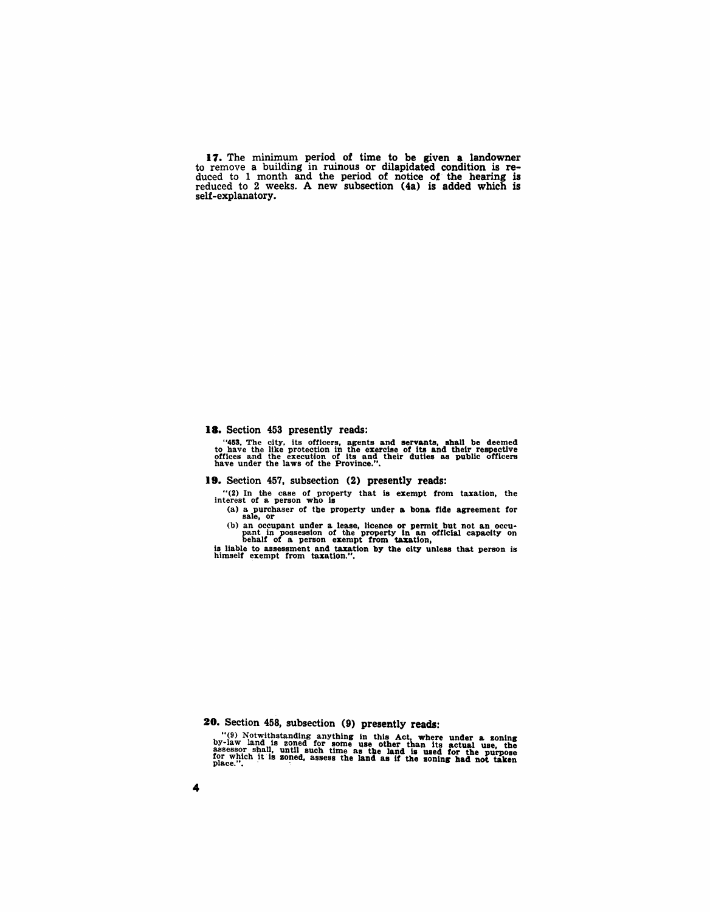17. The minimum period of time to be given a landowner to remove a building in ruinous or dilapidated condition is reduced to 1 month and the period of notice of the hearing is reduced to 2 weeks. A new subsection (4a) is added which is self-explanatory.

### 18. Section 453 presently reads:

"453. The city, its officers, agents and servants, shall be deemed to have the like protection in the exercise of its and their respective offices and the execution of its and their duties as public officers have under th

#### 19. Section 457, SUbsection (2) presently reads:

"(2) In the case of property that 1s exempt from taxation, the interest of a person who is

(a) a purchaser of the property under a bona fide agreement for sale, or

(b) an occupant under a lease, licence or permit but not an occu-<br>pant in possession of the property in an official capacity on<br>behalf of a person exempt from taxation,

is liable to assessment and taxation by the city unless that person is himself exempt from taxation.".

20. Section 458, subsection (9) presently reads:

"(9) Notwithstanding anything in this Act, where under a soning by-law land is zoned for some use other than its actual use, the assess or shall, until such time as the land is used for the purpose for which it is zoned,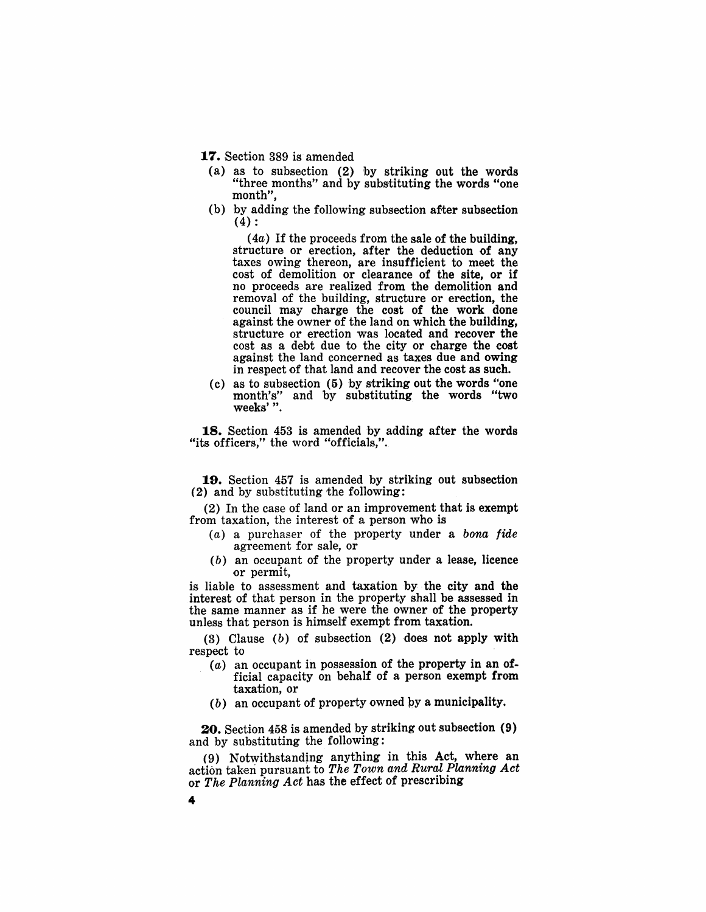17. Section 389 is amended

- (a) as to subsection (2) by striking out the words "three months" and by substituting the words "one month",
- (b) by adding the following subsection after subsection (4) :

 $(4a)$  If the proceeds from the sale of the building, structure or erection, after the deduction of any taxes owing thereon, are insufficient to meet the cost of demolition or clearance of the site, or if no proceeds are realized from the demolition and removal of the building, structure or erection, the council may charge the cost of the work done against the owner of the land on which the building, structure or erection was located and recover the cost as a debt due to the city or charge the cost against the land concerned as taxes due and owing in respect of that land and recover the cost as such.

(c) as to subsection (5) by striking out the words "one month's" and by substituting the words "two weeks' ".

18. Section 453 is amended by adding after the words "its officers," the word "officials,".

19. Section 457 is amended by striking out subsection (2) and by substituting the following:

(2) In the case of land or an improvement that is exempt from taxation, the interest of a person who is

- $(a)$  a purchaser of the property under a bona fide agreement for sale, or
- (b) an occupant of the property under a lease, licence or permit,

is liable to assessment and taxation by the city and the interest of that person in the property shall be assessed in the same manner as if he were the owner of the property unless that person is himself exempt from taxation.

(3) Clause (b) of subsection (2) does not apply with respect to

- $(a)$  an occupant in possession of the property in an official capacity on behalf of a person exempt from taxation, or
- $(b)$  an occupant of property owned by a municipality.

20. Section 458 is amended by striking out subsection (9) and by substituting the following:

(9) Notwithstanding anything in this Act, where an action taken pursuant to The Town and Rural Planning Act or The Planning Act has the effect of prescribing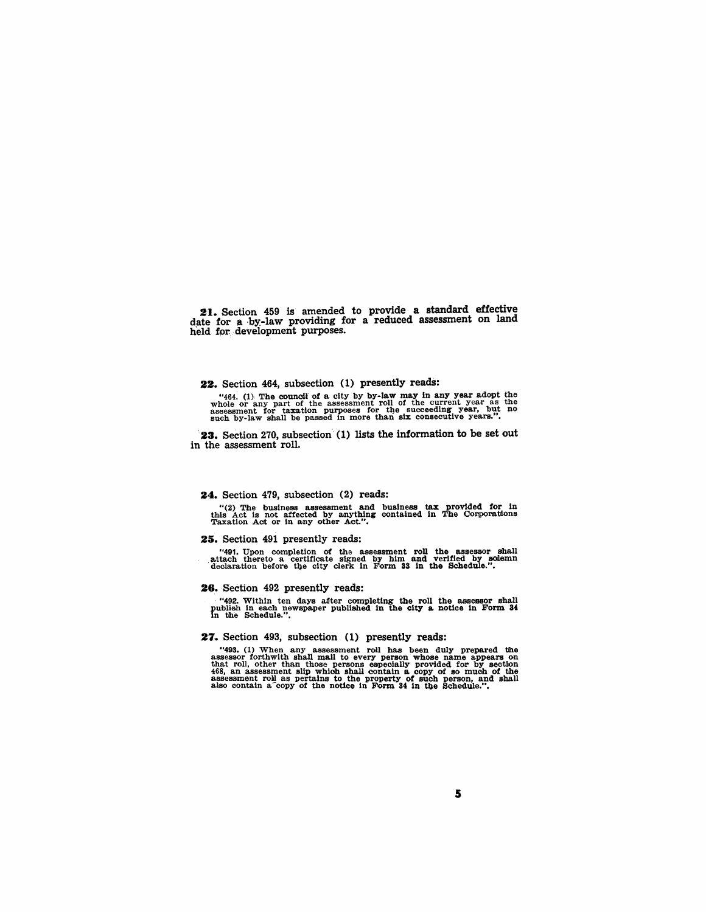21. Section 459 is amended to provide a standard effective date for a ·by-Iaw providing for a reduced assessment on land held for development purposes.

#### 22. Section 464, subsection (1) presently reads:

"464. (1) The council of a city by by-law may in any year adopt the whole or any part of the assessment roll of the current year as the assessment for taxation purposes for the succeeding year, but no such by-law shall be

23. Section 270, subsection (1) lists the information to be set out in the assessment roll.

#### 24. Section 479, subsection (2) reads:

"(2) The business assessment and business tax provided for in this Act is not affected by anything contained in The Corporations Taxation Act or in any other Act.".

#### 25. Section 491 presently reads:

"491. Upon completion of the assessment roll the assessor shall attach thereto a certificate signed by him and verified by solemn declaration before the city clerk in Form 33 in the Schedule.".

#### 26. Section 492 presently reads:

. "492. Within ten days after completing the roll the assessor shall publish in each newspaper published in the city a notice in Form 34 in the Schedule.".

#### 27. Section 493, subsection (1) presently reads:

"493. (1) When any assessment roll has been duly prepared the assessor forthwith shall mail to every person whose name appears on<br>assessor forthwith shall mail to every persons whose name appears on<br>that roll, other than t 468, an assessment slip which shall contain a copy of so much of the assessment roll as pertains to the property of such person, and shall also contain a copy of the notice in Form 34 in the Schedule.".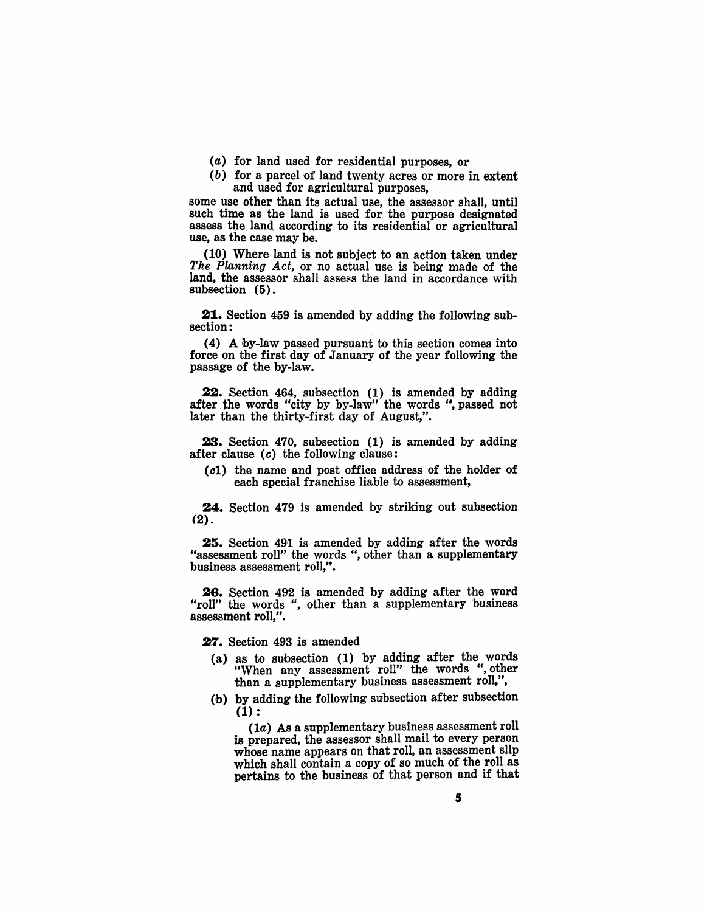- (a) for land used for residential purposes, or
- (b) for a parcel of land twenty acres or more in extent and used for agricultural purposes,

some use other than its actual use, the assessor shall, until such time as the land is used for the purpose designated assess the land according to its residential or agricultural use, as the case may be.

(10) Where land is not subject to an action taken under The Planning Act, or no actual use is being made of the land, the assessor shall assess the land in accordance with subsection (5).

21. Section 459 is amended by adding the following subsection:

(4) A by-law passed pursuant to this section comes into force on the first day of January of the year following the passage of the by-law.

22. Section 464, subsection (1) is amended by adding after the words "city by by-law" the words ", passed not later than the thirty-first day of August,".

23. Section 470, subsection (1) is amended by adding after clause (c) the following clause:

(c1) the name and post office address of the holder of each special franchise liable to assessment,

24. Section 479 is amended by striking out subsection (2).

25. Section 491 is amended by adding after the words "assessment roll" the words ", other than a supplementary business assessment roll,".

26. Section 492 is amended by adding after the word "roll" the words ", other than a supplementary business assessment roll,".

27. Section 493 is amended

- (a) as to subsection (1) by adding after the words "When any assessment roll" the words ", other than a supplementary business assessment roll,",
- (b) by adding the following subsection after subsection  $(1):$

(1a) As a supplementary business assessment roll is prepared, the assessor shall mail to every person whose name appears on that roll, an assessment slip which shall contain a copy of so much of the roll as pertains to the business of that person and if that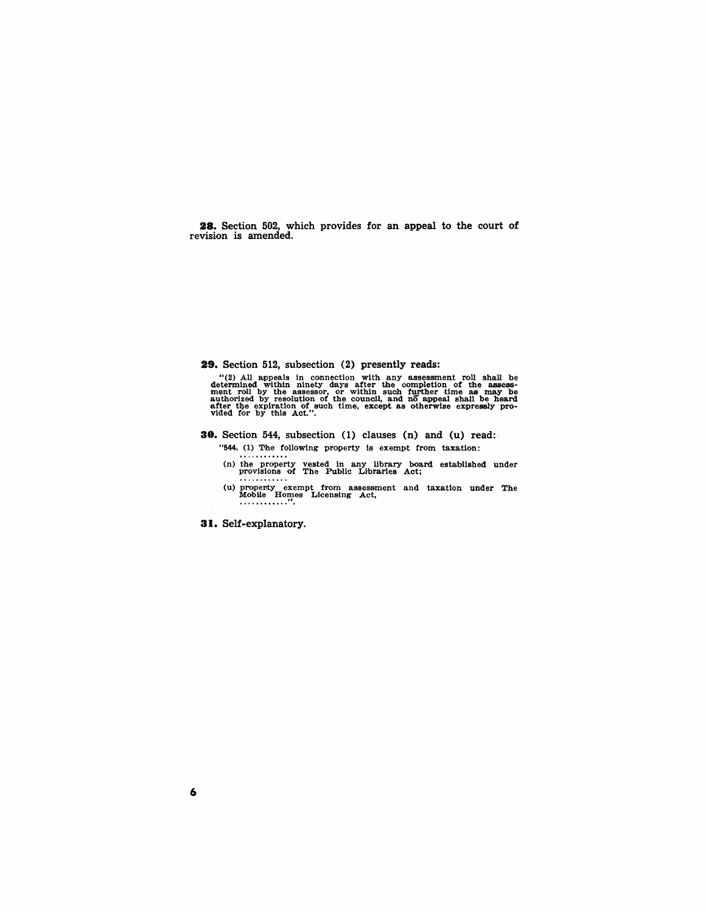**28.** Section 502, which provides for an appeal to the court of revision is amended.

#### **29.** Section 512, subsection (2) presently reads:

"(2) All appeals in connection with any assessment roll shall be determined within ninety days after the completion of the assesse-<br>ment roll by the assessor, or within such further time as may be<br>authorized by resolution

- **30.** Section 544, subsection (1) clauses (n) and (u) read:·
	- "544. (1) 'Dhe following property is exempt from taxation:
	- (n) the property vested in any llbrary board established under provisions of The Public Libraries Act;
	- (u)prope11ty exempt f·rom assessment and taxation under The Mobille Ho~es Licensing Act **••• ·It •••••• •**

**31.** Self-explanatory.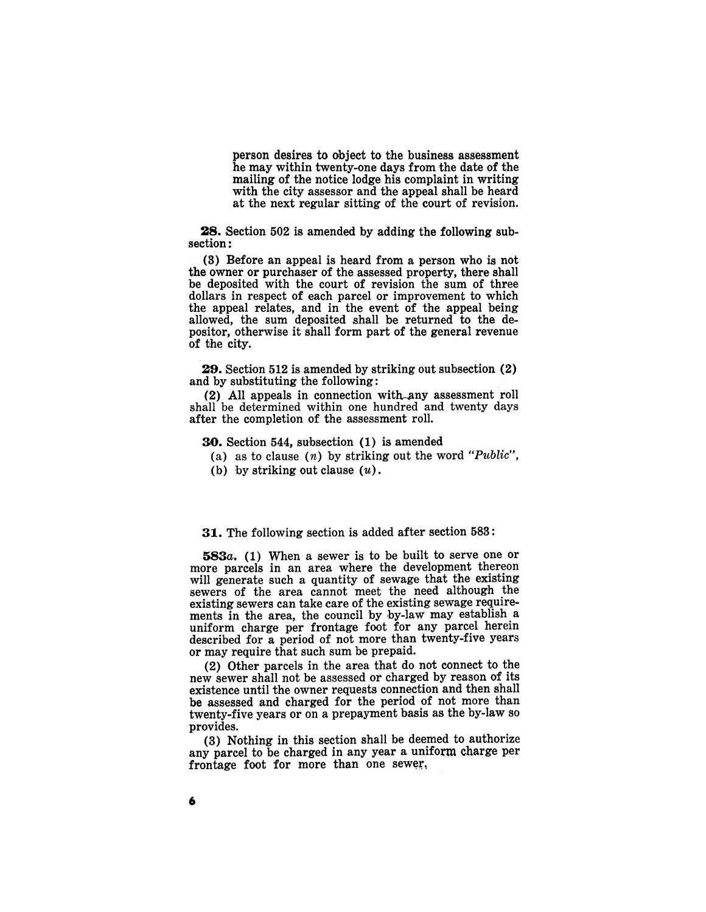person desires to object to the business assessment he may within twenty-one days from the date of the mailing of the notice lodge his complaint in writing with the city assessor and the appeal shall be heard at the next regular sitting of the court of revision.

**28.** Section 502 is amended by adding the following subsection:

(3) Before an appeal is heard from a person who is not the owner or purchaser of the assessed property, there shall be deposited with the court of revision the sum of three dollars in respect of each parcel or improvement to which the appeal relates, and in the event of the appeal being allowed, the sum deposited shall be returned to the depositor, otherwise it shall form part of the general revenue of the city.

29. Section 512 is amended by striking out subsection (2) and by substituting the following:

(2) All appeals in connection with any assessment roll shall he determined within one hundred and twenty days after the completion of the assessment roll.

30. Section 544, subsection (1) is amended

- (a) as to clause  $(n)$  by striking out the word "Public",
- (b) by striking out clause  $(u)$ .

31. The following section is added after section 583:

*583a.* (1) When a sewer is to be built to serve one or more parcels in an area where the development thereon will generate such a quantity of sewage that the existing sewers of the area cannot meet the need although the existing sewers can take care of the existing sewage requirements in the area, the council by by-law may establish a uniform charge per frontage foot for any parcel herein described for a period of not more than twenty-five years or may require that such sum be prepaid.

(2) Other parcels in the area that do not connect to the new sewer shall not be assessed or charged by reason of its existence until the owner requests connection and then shall be assessed and charged for the period of not more than twenty-five years or on a prepayment basis as the by-law so provides.

(3) Nothing in this section shall be deemed to authorize any parcel to be charged in any year a uniform charge per frontage foot for more than one sewer,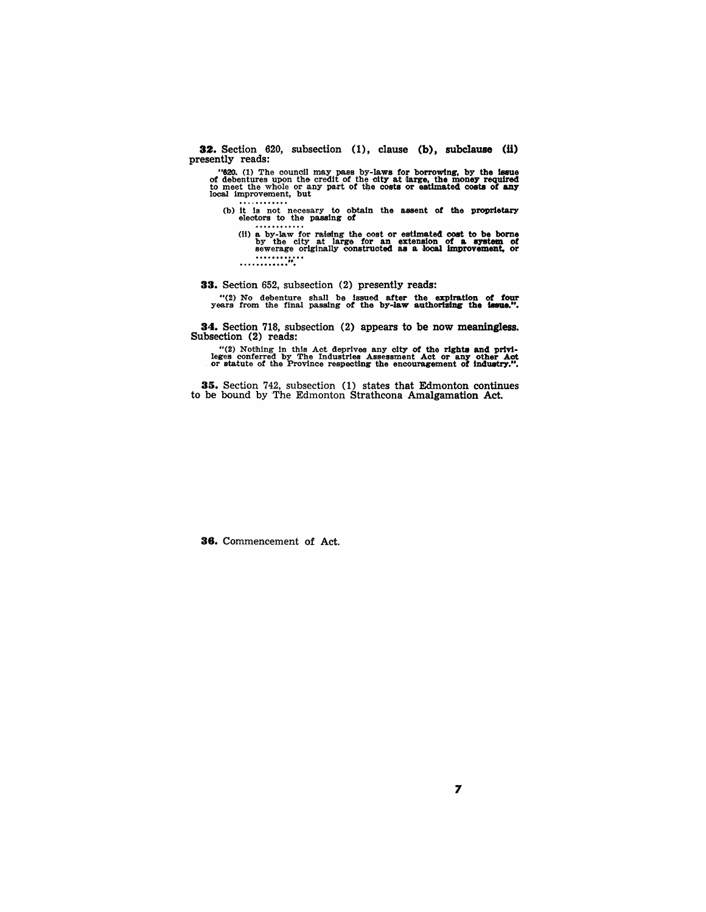32. Section 620, subsection (1), clause (b), subclause (ii) presently reads:

"620. (1) The council may pass by-laws for borrowing, by the issue of debentures upon the credit of the city at large, the money required to meet the whole or any part of the costs or estimated costs of any local improvem

(b) it is not necesary to obtain the assent of the proprietary electors to the passing of<br>
............

(11) & by-law fQr raising the oost Qr estimated cost to be bome by the city at large for an extensiQn Qf & Q'8tem of sewerage Qriginally constructed a.s a loca.l imprQvement, or ............ ............ ".

33. Section 652, subsection (2) presently reads:

"(2) No debenture shall be issued after the expiration of four years from the final passing of the by-law authorizing the issue.".

34. Section 718, subsection (2) appears to be now meaningless. Subsection (2) reads:

"(2) Nothing in this Act deprives any city of the rights and privi-<br>leges conferred by The Industries Assessment Act or any other Act<br>or statute of the Province respecting the encouragement of industry.".

35. Section 742, subsection (1) states that Edmonton continues to be bound by The Edmonton Strathcona Amalgamation Act.

38. Commencement of Act.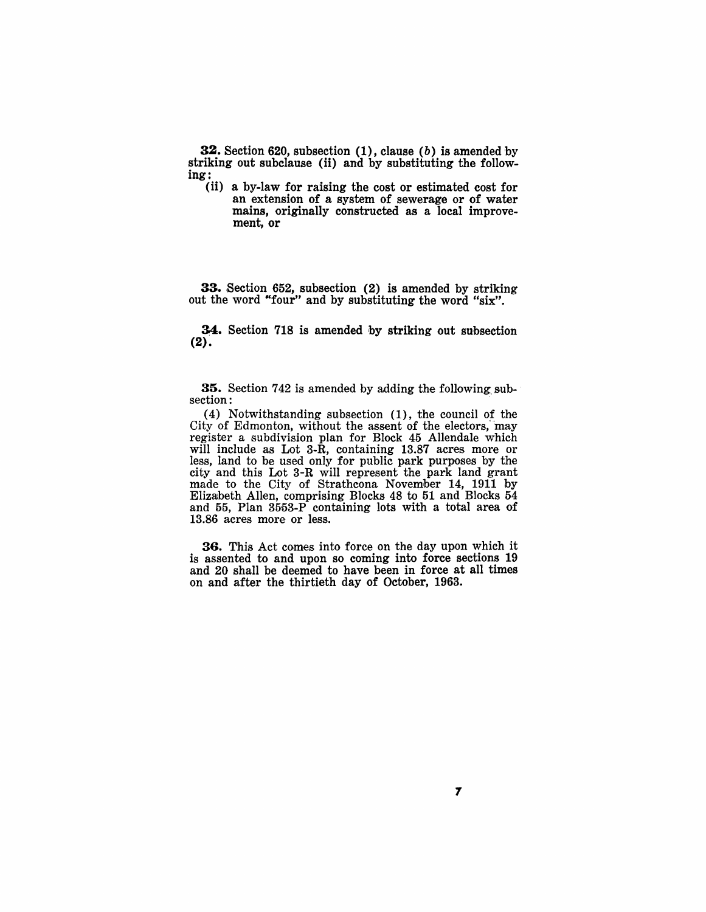**32.** Section 620, subsection  $(1)$ , clause  $(b)$  is amended by striking out subclause (ii) and by substituting the following:

(ii) a by-law for raising the cost or estimated cost for an extension of a system of sewerage or of water mains, originally constructed as a local improvement, or

33. Section 652, subsection (2) is amended by striking out the word "four" and by substituting the word "six".

34. Section 718 is amended by striking out subsection  $(2).$ 

35. Section 742 is amended by adding the following subsection:

(4) Notwithstanding subsection  $(1)$ , the council of the City of Edmonton, without the assent of the electors,'may register a subdivision plan for Block 45 Allendale which will include as Lot 3-R, containing 13.87 acres more or less, land to be used only for public park purposes by the city and this Lot 3-R will represent the park land grant made to the City of Strathcona November 14, 1911 by Elizalbeth Allen, comprising Blocks 48 to 51 and Blocks 54 and 55, Plan 3553-P containing lots with a total area of 13.86 acres more or less.

36. This Act comes into force on the day upon which it is assented to and upon so coming into force sections 19 and 20 shall be deemed to have been in force at all times on and after the thirtieth day of October, 1963.